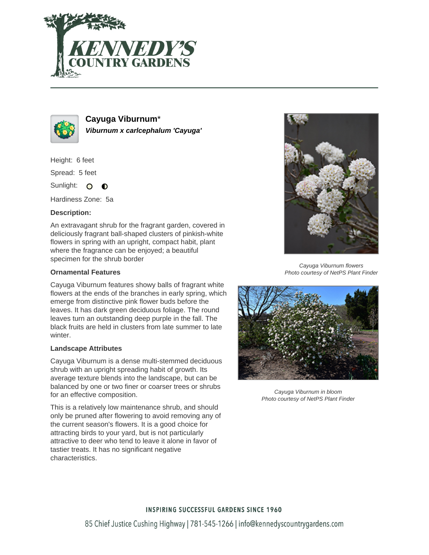



**Cayuga Viburnum**\* **Viburnum x carlcephalum 'Cayuga'**

Height: 6 feet

Spread: 5 feet

Sunlight: O  $\bullet$ 

Hardiness Zone: 5a

## **Description:**

An extravagant shrub for the fragrant garden, covered in deliciously fragrant ball-shaped clusters of pinkish-white flowers in spring with an upright, compact habit, plant where the fragrance can be enjoyed; a beautiful specimen for the shrub border

## **Ornamental Features**

Cayuga Viburnum features showy balls of fragrant white flowers at the ends of the branches in early spring, which emerge from distinctive pink flower buds before the leaves. It has dark green deciduous foliage. The round leaves turn an outstanding deep purple in the fall. The black fruits are held in clusters from late summer to late winter.

## **Landscape Attributes**

Cayuga Viburnum is a dense multi-stemmed deciduous shrub with an upright spreading habit of growth. Its average texture blends into the landscape, but can be balanced by one or two finer or coarser trees or shrubs for an effective composition.

This is a relatively low maintenance shrub, and should only be pruned after flowering to avoid removing any of the current season's flowers. It is a good choice for attracting birds to your yard, but is not particularly attractive to deer who tend to leave it alone in favor of tastier treats. It has no significant negative characteristics.



Cayuga Viburnum flowers Photo courtesy of NetPS Plant Finder



Cayuga Viburnum in bloom Photo courtesy of NetPS Plant Finder